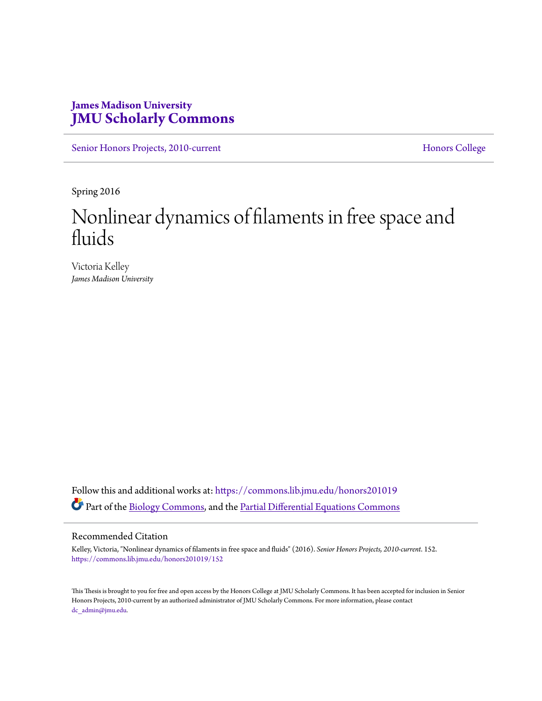## **James Madison University [JMU Scholarly Commons](https://commons.lib.jmu.edu/?utm_source=commons.lib.jmu.edu%2Fhonors201019%2F152&utm_medium=PDF&utm_campaign=PDFCoverPages)**

[Senior Honors Projects, 2010-current](https://commons.lib.jmu.edu/honors201019?utm_source=commons.lib.jmu.edu%2Fhonors201019%2F152&utm_medium=PDF&utm_campaign=PDFCoverPages) [Honors College](https://commons.lib.jmu.edu/honors?utm_source=commons.lib.jmu.edu%2Fhonors201019%2F152&utm_medium=PDF&utm_campaign=PDFCoverPages)

Spring 2016

# Nonlinear dynamics of filaments in free space and fluids

Victoria Kelley *James Madison University*

Follow this and additional works at: [https://commons.lib.jmu.edu/honors201019](https://commons.lib.jmu.edu/honors201019?utm_source=commons.lib.jmu.edu%2Fhonors201019%2F152&utm_medium=PDF&utm_campaign=PDFCoverPages) Part of the [Biology Commons,](http://network.bepress.com/hgg/discipline/41?utm_source=commons.lib.jmu.edu%2Fhonors201019%2F152&utm_medium=PDF&utm_campaign=PDFCoverPages) and the [Partial Differential Equations Commons](http://network.bepress.com/hgg/discipline/120?utm_source=commons.lib.jmu.edu%2Fhonors201019%2F152&utm_medium=PDF&utm_campaign=PDFCoverPages)

#### Recommended Citation

Kelley, Victoria, "Nonlinear dynamics of filaments in free space and fluids" (2016). *Senior Honors Projects, 2010-current*. 152. [https://commons.lib.jmu.edu/honors201019/152](https://commons.lib.jmu.edu/honors201019/152?utm_source=commons.lib.jmu.edu%2Fhonors201019%2F152&utm_medium=PDF&utm_campaign=PDFCoverPages)

This Thesis is brought to you for free and open access by the Honors College at JMU Scholarly Commons. It has been accepted for inclusion in Senior Honors Projects, 2010-current by an authorized administrator of JMU Scholarly Commons. For more information, please contact [dc\\_admin@jmu.edu.](mailto:dc_admin@jmu.edu)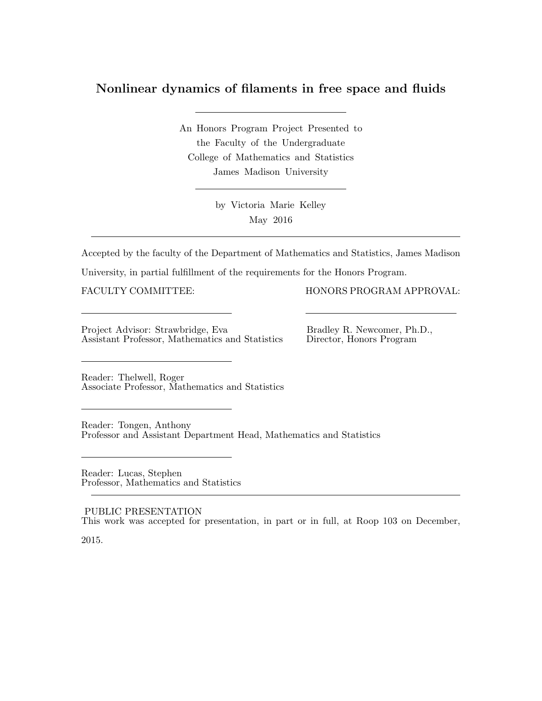## Nonlinear dynamics of filaments in free space and fluids

An Honors Program Project Presented to the Faculty of the Undergraduate College of Mathematics and Statistics James Madison University

> by Victoria Marie Kelley May 2016

Accepted by the faculty of the Department of Mathematics and Statistics, James Madison

University, in partial fulfillment of the requirements for the Honors Program.

FACULTY COMMITTEE: HONORS PROGRAM APPROVAL:

Project Advisor: Strawbridge, Eva Bradley R. Newcomer, Ph.D., Assistant Professor, Mathematics and Statistics Director, Honors Program Assistant Professor, Mathematics and Statistics

Reader: Thelwell, Roger Associate Professor, Mathematics and Statistics

Reader: Tongen, Anthony Professor and Assistant Department Head, Mathematics and Statistics

Reader: Lucas, Stephen Professor, Mathematics and Statistics

PUBLIC PRESENTATION This work was accepted for presentation, in part or in full, at Roop 103 on December,

2015.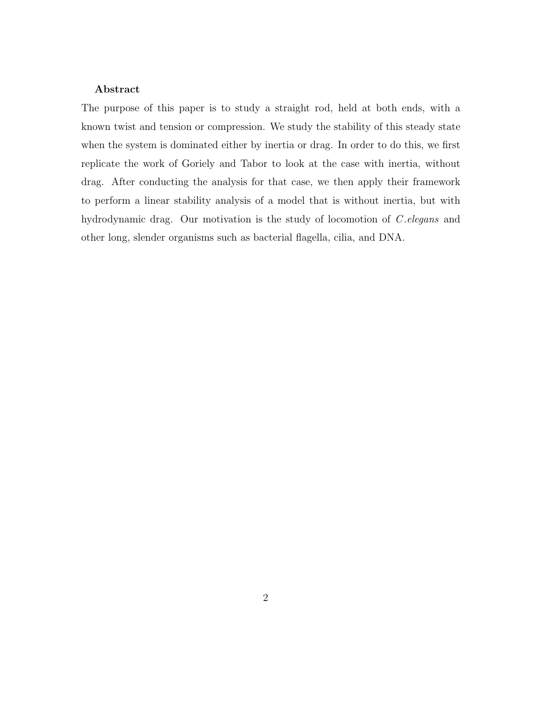#### Abstract

The purpose of this paper is to study a straight rod, held at both ends, with a known twist and tension or compression. We study the stability of this steady state when the system is dominated either by inertia or drag. In order to do this, we first replicate the work of Goriely and Tabor to look at the case with inertia, without drag. After conducting the analysis for that case, we then apply their framework to perform a linear stability analysis of a model that is without inertia, but with hydrodynamic drag. Our motivation is the study of locomotion of C elegans and other long, slender organisms such as bacterial flagella, cilia, and DNA.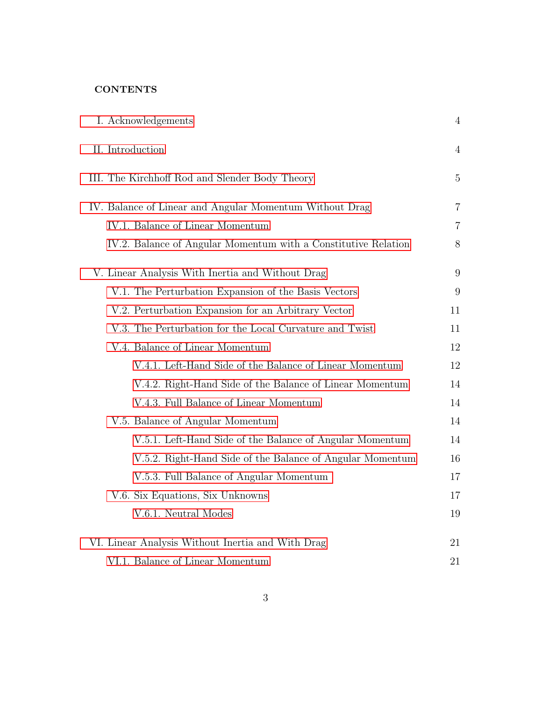### **CONTENTS**

| I. Acknowledgements                                            | $\overline{4}$ |
|----------------------------------------------------------------|----------------|
| II. Introduction                                               | 4              |
| III. The Kirchhoff Rod and Slender Body Theory                 | $\overline{5}$ |
| IV. Balance of Linear and Angular Momentum Without Drag        | 7              |
| IV.1. Balance of Linear Momentum                               | $\overline{7}$ |
| IV.2. Balance of Angular Momentum with a Constitutive Relation | 8              |
| V. Linear Analysis With Inertia and Without Drag               | 9              |
| V.1. The Perturbation Expansion of the Basis Vectors           | 9              |
| V.2. Perturbation Expansion for an Arbitrary Vector            | 11             |
| V.3. The Perturbation for the Local Curvature and Twist        | 11             |
| V.4. Balance of Linear Momentum                                | 12             |
| V.4.1. Left-Hand Side of the Balance of Linear Momentum        | 12             |
| V.4.2. Right-Hand Side of the Balance of Linear Momentum       | 14             |
| V.4.3. Full Balance of Linear Momentum                         | 14             |
| V.5. Balance of Angular Momentum                               | 14             |
| V.5.1. Left-Hand Side of the Balance of Angular Momentum       | 14             |
| V.5.2. Right-Hand Side of the Balance of Angular Momentum      | 16             |
| V.5.3. Full Balance of Angular Momentum                        | 17             |
| V.6. Six Equations, Six Unknowns                               | 17             |
| V.6.1. Neutral Modes                                           | 19             |
| VI. Linear Analysis Without Inertia and With Drag              | 21             |
| VI.1. Balance of Linear Momentum                               | 21             |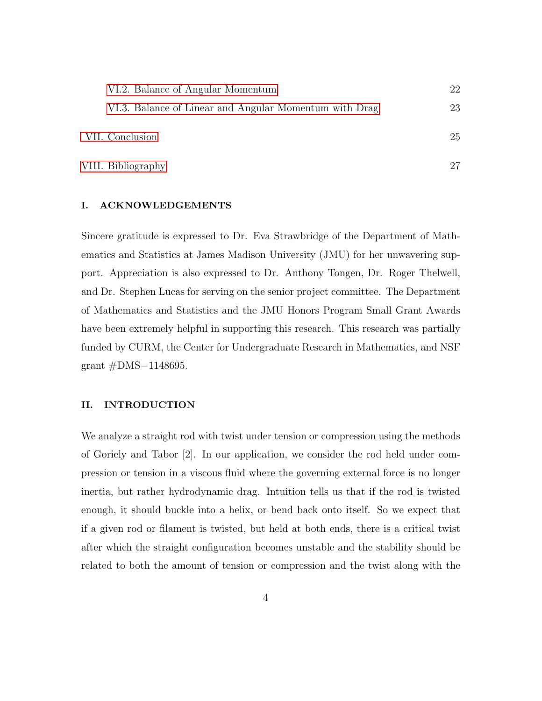| VI.2. Balance of Angular Momentum                      | 22 |
|--------------------------------------------------------|----|
| VI.3. Balance of Linear and Angular Momentum with Drag | 23 |
| VII. Conclusion                                        | 25 |
| VIII. Bibliography                                     |    |

#### <span id="page-4-0"></span>I. ACKNOWLEDGEMENTS

Sincere gratitude is expressed to Dr. Eva Strawbridge of the Department of Mathematics and Statistics at James Madison University (JMU) for her unwavering support. Appreciation is also expressed to Dr. Anthony Tongen, Dr. Roger Thelwell, and Dr. Stephen Lucas for serving on the senior project committee. The Department of Mathematics and Statistics and the JMU Honors Program Small Grant Awards have been extremely helpful in supporting this research. This research was partially funded by CURM, the Center for Undergraduate Research in Mathematics, and NSF grant #DMS−1148695.

#### <span id="page-4-1"></span>II. INTRODUCTION

We analyze a straight rod with twist under tension or compression using the methods of Goriely and Tabor [2]. In our application, we consider the rod held under compression or tension in a viscous fluid where the governing external force is no longer inertia, but rather hydrodynamic drag. Intuition tells us that if the rod is twisted enough, it should buckle into a helix, or bend back onto itself. So we expect that if a given rod or filament is twisted, but held at both ends, there is a critical twist after which the straight configuration becomes unstable and the stability should be related to both the amount of tension or compression and the twist along with the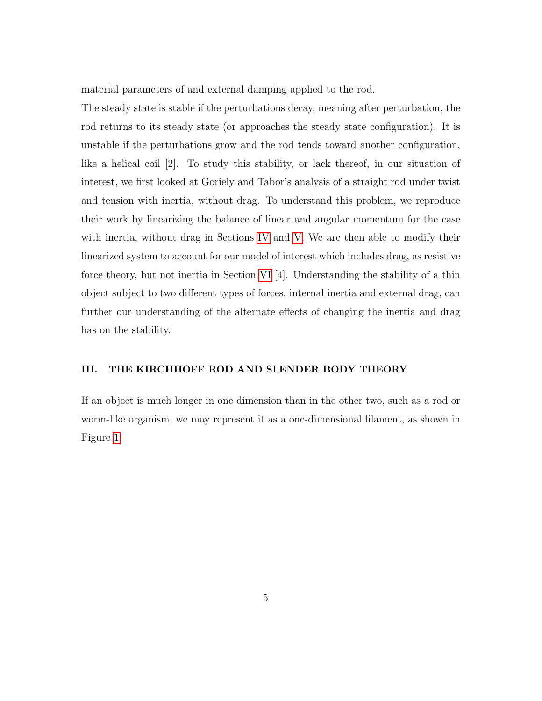material parameters of and external damping applied to the rod.

The steady state is stable if the perturbations decay, meaning after perturbation, the rod returns to its steady state (or approaches the steady state configuration). It is unstable if the perturbations grow and the rod tends toward another configuration, like a helical coil [2]. To study this stability, or lack thereof, in our situation of interest, we first looked at Goriely and Tabor's analysis of a straight rod under twist and tension with inertia, without drag. To understand this problem, we reproduce their work by linearizing the balance of linear and angular momentum for the case with inertia, without drag in Sections [IV](#page-7-0) and [V.](#page-9-0) We are then able to modify their linearized system to account for our model of interest which includes drag, as resistive force theory, but not inertia in Section [VI](#page-21-0) [4]. Understanding the stability of a thin object subject to two different types of forces, internal inertia and external drag, can further our understanding of the alternate effects of changing the inertia and drag has on the stability.

#### <span id="page-5-0"></span>III. THE KIRCHHOFF ROD AND SLENDER BODY THEORY

If an object is much longer in one dimension than in the other two, such as a rod or worm-like organism, we may represent it as a one-dimensional filament, as shown in Figure [1.](#page-6-0)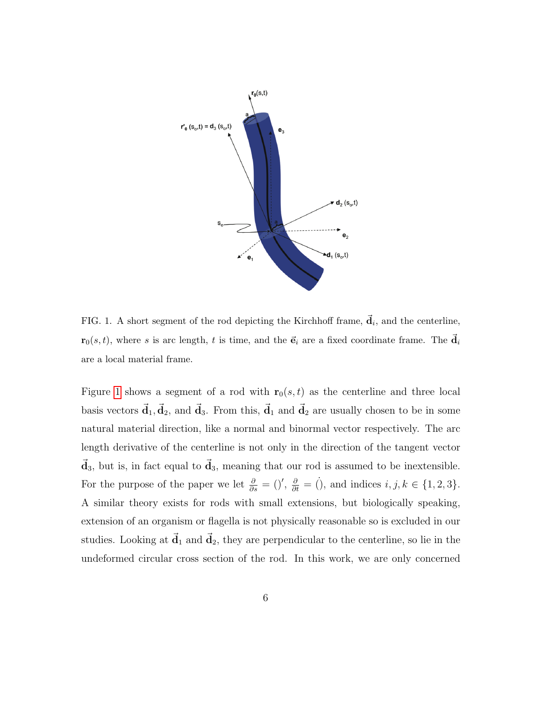

<span id="page-6-0"></span>FIG. 1. A short segment of the rod depicting the Kirchhoff frame,  $\vec{d}_i$ , and the centerline,  $\mathbf{r}_0(s, t)$ , where s is arc length, t is time, and the  $\vec{\mathbf{e}}_i$  are a fixed coordinate frame. The  $\vec{\mathbf{d}}_i$ are a local material frame.

Figure [1](#page-6-0) shows a segment of a rod with  $r_0(s, t)$  as the centerline and three local basis vectors  $\vec{d}_1, \vec{d}_2$ , and  $\vec{d}_3$ . From this,  $\vec{d}_1$  and  $\vec{d}_2$  are usually chosen to be in some natural material direction, like a normal and binormal vector respectively. The arc length derivative of the centerline is not only in the direction of the tangent vector  $\vec{d}_3$ , but is, in fact equal to  $\vec{d}_3$ , meaning that our rod is assumed to be inextensible. For the purpose of the paper we let  $\frac{\partial}{\partial s} = ()'$ ,  $\frac{\partial}{\partial t} = ()$ , and indices  $i, j, k \in \{1, 2, 3\}$ . A similar theory exists for rods with small extensions, but biologically speaking, extension of an organism or flagella is not physically reasonable so is excluded in our studies. Looking at  $\vec{d}_1$  and  $\vec{d}_2$ , they are perpendicular to the centerline, so lie in the undeformed circular cross section of the rod. In this work, we are only concerned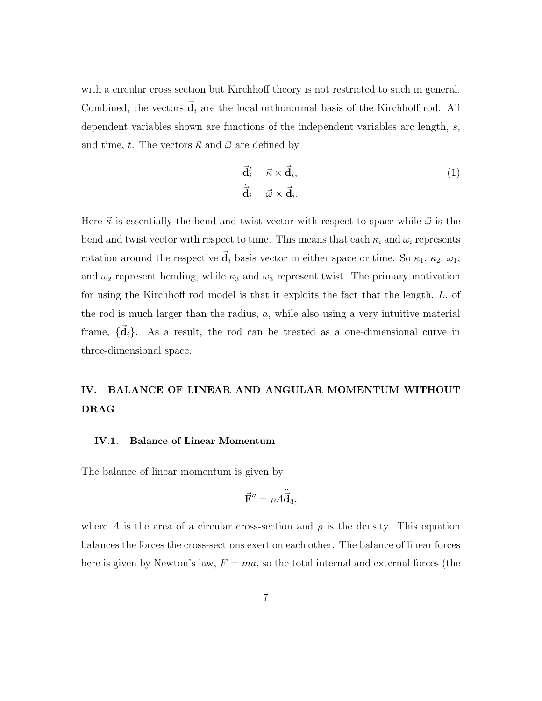with a circular cross section but Kirchhoff theory is not restricted to such in general. Combined, the vectors  $\dot{d}_i$  are the local orthonormal basis of the Kirchhoff rod. All dependent variables shown are functions of the independent variables arc length, s, and time, t. The vectors  $\vec{\kappa}$  and  $\vec{\omega}$  are defined by

<span id="page-7-2"></span>
$$
\vec{\mathbf{d}}'_i = \vec{\kappa} \times \vec{\mathbf{d}}_i, \n\dot{\vec{\mathbf{d}}}_i = \vec{\omega} \times \vec{\mathbf{d}}_i.
$$
\n(1)

Here  $\vec{\kappa}$  is essentially the bend and twist vector with respect to space while  $\vec{\omega}$  is the bend and twist vector with respect to time. This means that each  $\kappa_i$  and  $\omega_i$  represents rotation around the respective  $\vec{d}_i$  basis vector in either space or time. So  $\kappa_1$ ,  $\kappa_2$ ,  $\omega_1$ , and  $\omega_2$  represent bending, while  $\kappa_3$  and  $\omega_3$  represent twist. The primary motivation for using the Kirchhoff rod model is that it exploits the fact that the length, L, of the rod is much larger than the radius, a, while also using a very intuitive material frame,  $\{\vec{d}_i\}$ . As a result, the rod can be treated as a one-dimensional curve in three-dimensional space.

# <span id="page-7-0"></span>IV. BALANCE OF LINEAR AND ANGULAR MOMENTUM WITHOUT DRAG

#### <span id="page-7-1"></span>IV.1. Balance of Linear Momentum

The balance of linear momentum is given by

<span id="page-7-3"></span>
$$
\vec{\mathbf{F}}'' = \rho A \ddot{\vec{\mathbf{d}}}_3,
$$

where A is the area of a circular cross-section and  $\rho$  is the density. This equation balances the forces the cross-sections exert on each other. The balance of linear forces here is given by Newton's law,  $F = ma$ , so the total internal and external forces (the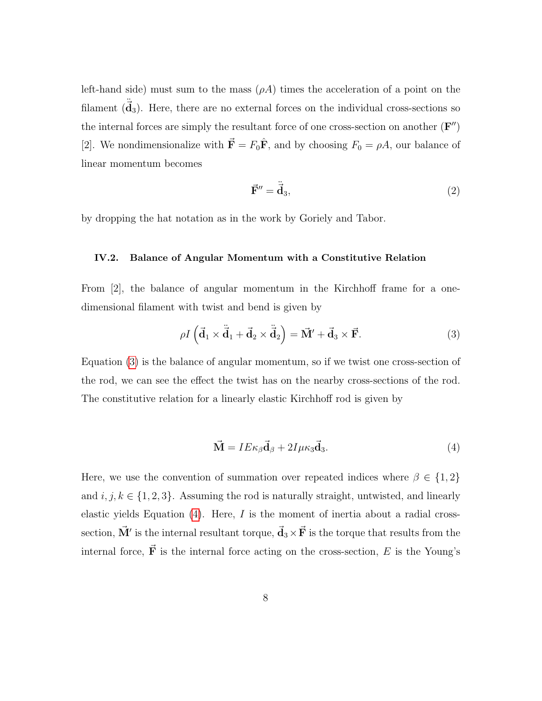left-hand side) must sum to the mass  $(\rho A)$  times the acceleration of a point on the filament  $(\vec{d}_3)$ . Here, there are no external forces on the individual cross-sections so the internal forces are simply the resultant force of one cross-section on another  $(F'')$ [2]. We nondimensionalize with  $\vec{F} = F_0 \hat{F}$ , and by choosing  $F_0 = \rho A$ , our balance of linear momentum becomes

$$
\vec{\mathbf{F}}'' = \ddot{\vec{\mathbf{d}}}_3,\tag{2}
$$

by dropping the hat notation as in the work by Goriely and Tabor.

#### <span id="page-8-0"></span>IV.2. Balance of Angular Momentum with a Constitutive Relation

From [2], the balance of angular momentum in the Kirchhoff frame for a onedimensional filament with twist and bend is given by

<span id="page-8-1"></span>
$$
\rho I\left(\vec{\mathbf{d}}_1 \times \dot{\vec{\mathbf{d}}}_1 + \vec{\mathbf{d}}_2 \times \dot{\vec{\mathbf{d}}}_2\right) = \vec{\mathbf{M}}' + \vec{\mathbf{d}}_3 \times \vec{\mathbf{F}}.\tag{3}
$$

Equation [\(3\)](#page-8-1) is the balance of angular momentum, so if we twist one cross-section of the rod, we can see the effect the twist has on the nearby cross-sections of the rod. The constitutive relation for a linearly elastic Kirchhoff rod is given by

<span id="page-8-2"></span>
$$
\vec{\mathbf{M}} = I E \kappa_{\beta} \vec{\mathbf{d}}_{\beta} + 2I \mu \kappa_3 \vec{\mathbf{d}}_3. \tag{4}
$$

Here, we use the convention of summation over repeated indices where  $\beta \in \{1,2\}$ and  $i, j, k \in \{1, 2, 3\}$ . Assuming the rod is naturally straight, untwisted, and linearly elastic yields Equation  $(4)$ . Here, I is the moment of inertia about a radial crosssection,  $\vec{M}'$  is the internal resultant torque,  $\vec{d}_3 \times \vec{F}$  is the torque that results from the internal force,  $\vec{F}$  is the internal force acting on the cross-section, E is the Young's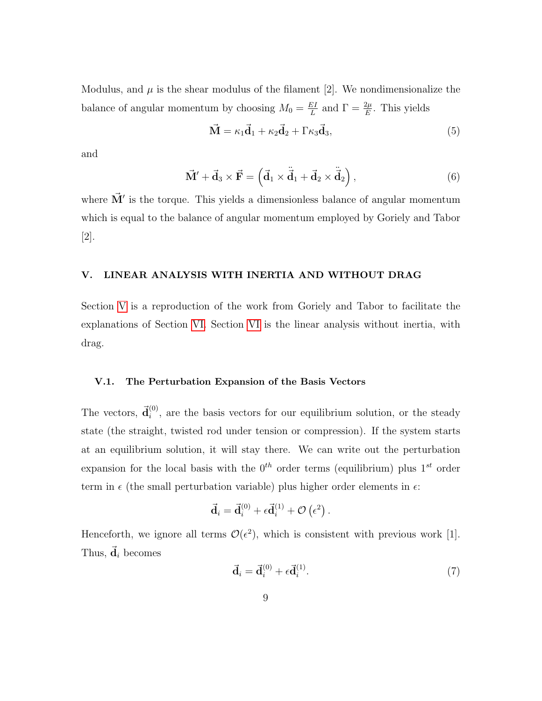Modulus, and  $\mu$  is the shear modulus of the filament [2]. We nondimensionalize the balance of angular momentum by choosing  $M_0 = \frac{EI}{L}$  $\frac{EI}{L}$  and  $\Gamma = \frac{2\mu}{E}$ . This yields

<span id="page-9-3"></span>
$$
\vec{\mathbf{M}} = \kappa_1 \vec{\mathbf{d}}_1 + \kappa_2 \vec{\mathbf{d}}_2 + \Gamma \kappa_3 \vec{\mathbf{d}}_3, \tag{5}
$$

and

<span id="page-9-2"></span>
$$
\vec{\mathbf{M}}' + \vec{\mathbf{d}}_3 \times \vec{\mathbf{F}} = \left( \vec{\mathbf{d}}_1 \times \dot{\vec{\mathbf{d}}}_1 + \vec{\mathbf{d}}_2 \times \dot{\vec{\mathbf{d}}}_2 \right),\tag{6}
$$

where  $\vec{M}'$  is the torque. This yields a dimensionless balance of angular momentum which is equal to the balance of angular momentum employed by Goriely and Tabor [2].

#### <span id="page-9-0"></span>V. LINEAR ANALYSIS WITH INERTIA AND WITHOUT DRAG

Section [V](#page-9-0) is a reproduction of the work from Goriely and Tabor to facilitate the explanations of Section [VI.](#page-21-0) Section [VI](#page-21-0) is the linear analysis without inertia, with drag.

#### <span id="page-9-1"></span>V.1. The Perturbation Expansion of the Basis Vectors

The vectors,  $\vec{d}_i^{(0)}$  $i^{(0)}$ , are the basis vectors for our equilibrium solution, or the steady state (the straight, twisted rod under tension or compression). If the system starts at an equilibrium solution, it will stay there. We can write out the perturbation expansion for the local basis with the  $0^{th}$  order terms (equilibrium) plus  $1^{st}$  order term in  $\epsilon$  (the small perturbation variable) plus higher order elements in  $\epsilon$ :

$$
\vec{\mathbf{d}}_i = \vec{\mathbf{d}}_i^{(0)} + \epsilon \vec{\mathbf{d}}_i^{(1)} + \mathcal{O}\left(\epsilon^2\right).
$$

Henceforth, we ignore all terms  $\mathcal{O}(\epsilon^2)$ , which is consistent with previous work [1]. Thus,  $\vec{d}_i$  becomes

$$
\vec{\mathbf{d}}_i = \vec{\mathbf{d}}_i^{(0)} + \epsilon \vec{\mathbf{d}}_i^{(1)}.
$$
\n<sup>(7)</sup>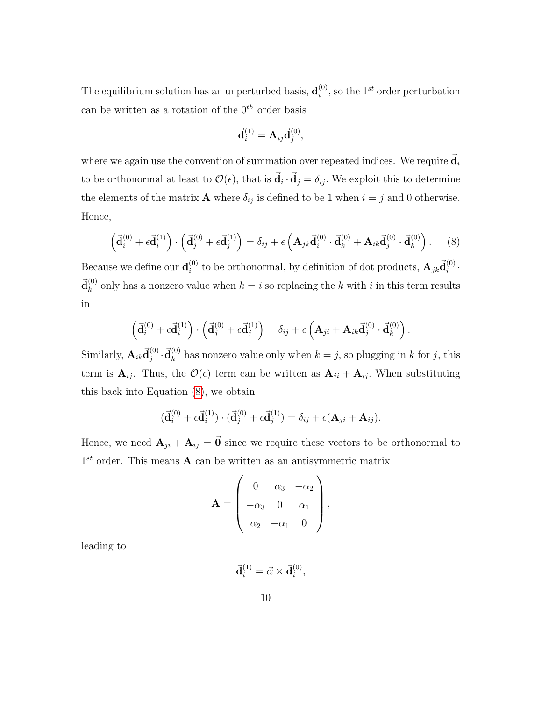The equilibrium solution has an unperturbed basis,  $\mathbf{d}_i^{(0)}$  $i^{(0)}$ , so the 1<sup>st</sup> order perturbation can be written as a rotation of the  $0^{th}$  order basis

<span id="page-10-0"></span>
$$
\vec{\mathbf{d}}_i^{(1)} = \mathbf{A}_{ij} \vec{\mathbf{d}}_j^{(0)},
$$

where we again use the convention of summation over repeated indices. We require  $\vec{d}_i$ to be orthonormal at least to  $\mathcal{O}(\epsilon)$ , that is  $\vec{\mathbf{d}}_i \cdot \vec{\mathbf{d}}_j = \delta_{ij}$ . We exploit this to determine the elements of the matrix **A** where  $\delta_{ij}$  is defined to be 1 when  $i = j$  and 0 otherwise. Hence,

$$
\left(\vec{\mathbf{d}}_i^{(0)} + \epsilon \vec{\mathbf{d}}_i^{(1)}\right) \cdot \left(\vec{\mathbf{d}}_j^{(0)} + \epsilon \vec{\mathbf{d}}_j^{(1)}\right) = \delta_{ij} + \epsilon \left(\mathbf{A}_{jk}\vec{\mathbf{d}}_i^{(0)} \cdot \vec{\mathbf{d}}_k^{(0)} + \mathbf{A}_{ik}\vec{\mathbf{d}}_j^{(0)} \cdot \vec{\mathbf{d}}_k^{(0)}\right). \tag{8}
$$

Because we define our  $\mathbf{d}_{i}^{\left(0\right)}$ <sup>(0)</sup> to be orthonormal, by definition of dot products,  $\mathbf{A}_{jk}\vec{\mathbf{d}}_i^{(0)}$  $\binom{0}{i}$ .  $\vec{\mathrm{d}}_{k}^{(0)}$  $k_k^{(0)}$  only has a nonzero value when  $k = i$  so replacing the k with i in this term results in

<span id="page-10-1"></span>
$$
\left(\vec{\mathbf{d}}_i^{(0)} + \epsilon \vec{\mathbf{d}}_i^{(1)}\right) \cdot \left(\vec{\mathbf{d}}_j^{(0)} + \epsilon \vec{\mathbf{d}}_j^{(1)}\right) = \delta_{ij} + \epsilon \left(\mathbf{A}_{ji} + \mathbf{A}_{ik}\vec{\mathbf{d}}_j^{(0)} \cdot \vec{\mathbf{d}}_k^{(0)}\right).
$$

Similarly,  $\mathbf{A}_{ik}\vec{\mathbf{d}}_{i}^{(0)}$  $_{j}^{\left( 0\right) }\cdot\vec{\mathbf{d}}_{k}^{\left( 0\right) }$  $\kappa_k^{(0)}$  has nonzero value only when  $k = j$ , so plugging in k for j, this term is  $\mathbf{A}_{ij}$ . Thus, the  $\mathcal{O}(\epsilon)$  term can be written as  $\mathbf{A}_{ji} + \mathbf{A}_{ij}$ . When substituting this back into Equation [\(8\)](#page-10-0), we obtain

$$
(\vec{\mathbf{d}}_i^{(0)} + \epsilon \vec{\mathbf{d}}_i^{(1)}) \cdot (\vec{\mathbf{d}}_j^{(0)} + \epsilon \vec{\mathbf{d}}_j^{(1)}) = \delta_{ij} + \epsilon (\mathbf{A}_{ji} + \mathbf{A}_{ij}).
$$

Hence, we need  $\mathbf{A}_{ji} + \mathbf{A}_{ij} = \vec{\mathbf{0}}$  since we require these vectors to be orthonormal to  $1<sup>st</sup>$  order. This means **A** can be written as an antisymmetric matrix

$$
\mathbf{A} = \left(\begin{array}{ccc} 0 & \alpha_3 & -\alpha_2 \\ -\alpha_3 & 0 & \alpha_1 \\ \alpha_2 & -\alpha_1 & 0 \end{array}\right),
$$

leading to

$$
\vec{\mathbf{d}}_i^{(1)} = \vec{\alpha} \times \vec{\mathbf{d}}_i^{(0)},
$$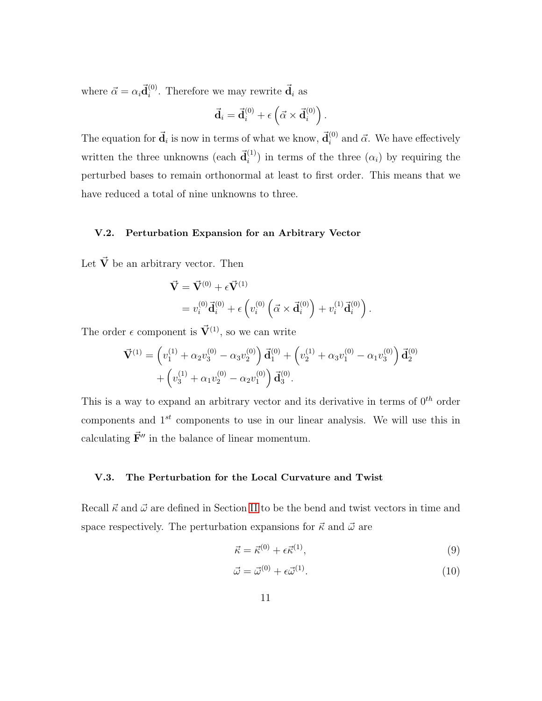where  $\vec{\alpha} = \alpha_i \vec{\mathbf{d}}_i^{(0)}$  $i^{(0)}$ . Therefore we may rewrite  $\vec{d}_i$  as

$$
\vec{\mathbf{d}}_i = \vec{\mathbf{d}}_i^{(0)} + \epsilon \left( \vec{\alpha} \times \vec{\mathbf{d}}_i^{(0)} \right).
$$

The equation for  $\vec{d}_i$  is now in terms of what we know,  $\vec{d}_i^{(0)}$  $i^{(0)}$  and  $\vec{\alpha}$ . We have effectively written the three unknowns (each  $\vec{d}_i^{(1)}$  $\binom{1}{i}$  in terms of the three  $(\alpha_i)$  by requiring the perturbed bases to remain orthonormal at least to first order. This means that we have reduced a total of nine unknowns to three.

#### <span id="page-11-0"></span>V.2. Perturbation Expansion for an Arbitrary Vector

Let  $\vec{V}$  be an arbitrary vector. Then

$$
\vec{\mathbf{V}} = \vec{\mathbf{V}}^{(0)} + \epsilon \vec{\mathbf{V}}^{(1)} \n= v_i^{(0)} \vec{\mathbf{d}}_i^{(0)} + \epsilon \left( v_i^{(0)} \left( \vec{\alpha} \times \vec{\mathbf{d}}_i^{(0)} \right) + v_i^{(1)} \vec{\mathbf{d}}_i^{(0)} \right).
$$

The order  $\epsilon$  component is  $\vec{V}^{(1)}$ , so we can write

$$
\vec{\mathbf{V}}^{(1)} = \left( v_1^{(1)} + \alpha_2 v_3^{(0)} - \alpha_3 v_2^{(0)} \right) \vec{\mathbf{d}}_1^{(0)} + \left( v_2^{(1)} + \alpha_3 v_1^{(0)} - \alpha_1 v_3^{(0)} \right) \vec{\mathbf{d}}_2^{(0)} + \left( v_3^{(1)} + \alpha_1 v_2^{(0)} - \alpha_2 v_1^{(0)} \right) \vec{\mathbf{d}}_3^{(0)}.
$$

This is a way to expand an arbitrary vector and its derivative in terms of  $0^{th}$  order components and  $1^{st}$  components to use in our linear analysis. We will use this in calculating  $\vec{F}''$  in the balance of linear momentum.

#### <span id="page-11-1"></span>V.3. The Perturbation for the Local Curvature and Twist

Recall  $\vec{\kappa}$  and  $\vec{\omega}$  are defined in Section [II](#page-4-1) to be the bend and twist vectors in time and space respectively. The perturbation expansions for  $\vec{\kappa}$  and  $\vec{\omega}$  are

$$
\vec{\kappa} = \vec{\kappa}^{(0)} + \epsilon \vec{\kappa}^{(1)},\tag{9}
$$

$$
\vec{\omega} = \vec{\omega}^{(0)} + \epsilon \vec{\omega}^{(1)}.
$$
\n(10)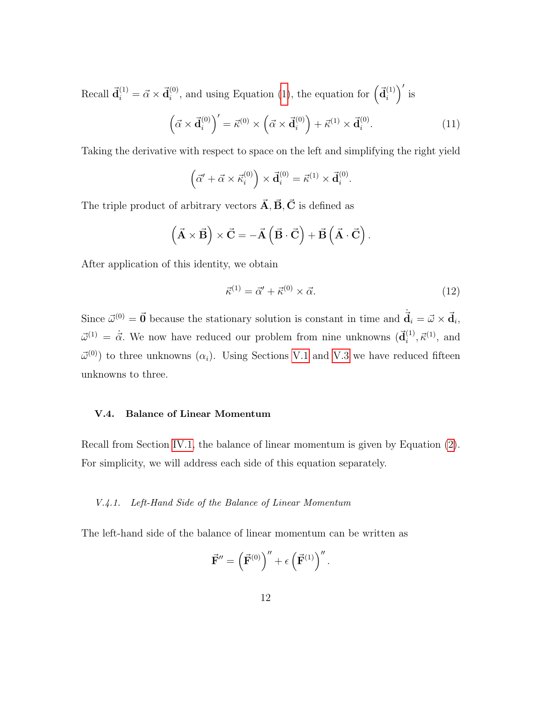Recall  $\vec{d}_i^{(1)} = \vec{\alpha} \times \vec{d}_i^{(0)}$  $i^{(0)}$ , and using Equation [\(1\)](#page-7-2), the equation for  $\left(\vec{d}_i^{(1)}\right)$  $\binom{1}{i}$  is

$$
\left(\vec{\alpha} \times \vec{\mathbf{d}}_i^{(0)}\right)' = \vec{\kappa}^{(0)} \times \left(\vec{\alpha} \times \vec{\mathbf{d}}_i^{(0)}\right) + \vec{\kappa}^{(1)} \times \vec{\mathbf{d}}_i^{(0)}.\tag{11}
$$

Taking the derivative with respect to space on the left and simplifying the right yield

<span id="page-12-2"></span>
$$
(\vec{\alpha}' + \vec{\alpha} \times \vec{\kappa}_i^{(0)}) \times \vec{\mathbf{d}}_i^{(0)} = \vec{\kappa}^{(1)} \times \vec{\mathbf{d}}_i^{(0)}.
$$

The triple product of arbitrary vectors  $\vec{A}, \vec{B}, \vec{C}$  is defined as

$$
\left(\vec{\mathbf{A}}\times\vec{\mathbf{B}}\right)\times\vec{\mathbf{C}}=-\vec{\mathbf{A}}\left(\vec{\mathbf{B}}\cdot\vec{\mathbf{C}}\right)+\vec{\mathbf{B}}\left(\vec{\mathbf{A}}\cdot\vec{\mathbf{C}}\right).
$$

After application of this identity, we obtain

$$
\vec{\kappa}^{(1)} = \vec{\alpha}' + \vec{\kappa}^{(0)} \times \vec{\alpha}.\tag{12}
$$

Since  $\vec{\omega}^{(0)} = \vec{0}$  because the stationary solution is constant in time and  $\dot{\vec{d}}_i = \vec{\omega} \times \vec{d}_i$ ,  $\vec{\omega}^{(1)} = \dot{\vec{\alpha}}$ . We now have reduced our problem from nine unknowns  $(\vec{\mathbf{d}}_i^{(1)})$  $i^{(1)}, \vec{\kappa}^{(1)}, \text{ and}$  $\vec{\omega}^{(0)}$  to three unknowns  $(\alpha_i)$ . Using Sections [V.1](#page-9-1) and [V.3](#page-11-1) we have reduced fifteen unknowns to three.

#### <span id="page-12-0"></span>V.4. Balance of Linear Momentum

Recall from Section [IV.1,](#page-7-1) the balance of linear momentum is given by Equation [\(2\)](#page-7-3). For simplicity, we will address each side of this equation separately.

#### <span id="page-12-1"></span>V.4.1. Left-Hand Side of the Balance of Linear Momentum

The left-hand side of the balance of linear momentum can be written as

$$
\vec{\mathbf{F}}'' = \left(\vec{\mathbf{F}}^{(0)}\right)'' + \epsilon \left(\vec{\mathbf{F}}^{(1)}\right)''.
$$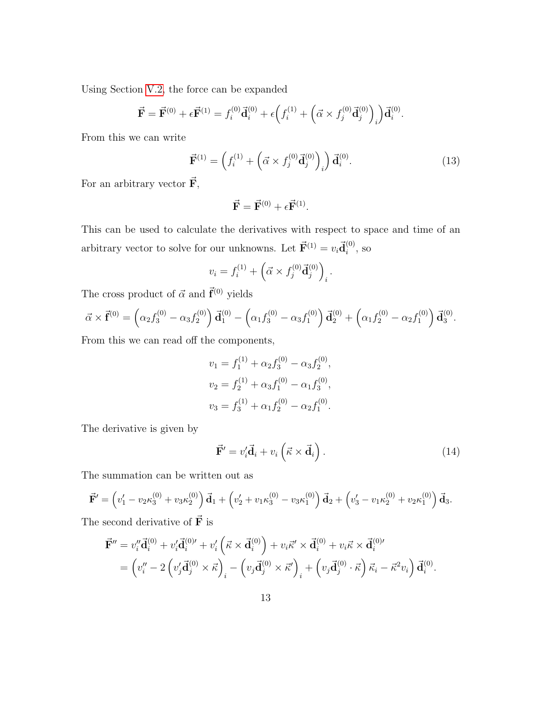Using Section [V.2,](#page-11-0) the force can be expanded

$$
\vec{\mathbf{F}} = \vec{\mathbf{F}}^{(0)} + \epsilon \vec{\mathbf{F}}^{(1)} = f_i^{(0)} \vec{\mathbf{d}}_i^{(0)} + \epsilon \Big( f_i^{(1)} + \Big( \vec{\alpha} \times f_j^{(0)} \vec{\mathbf{d}}_j^{(0)} \Big)_i \Big) \vec{\mathbf{d}}_i^{(0)}.
$$

From this we can write

$$
\vec{\mathbf{F}}^{(1)} = \left( f_i^{(1)} + \left( \vec{\alpha} \times f_j^{(0)} \vec{\mathbf{d}}_j^{(0)} \right)_i \right) \vec{\mathbf{d}}_i^{(0)}.
$$
\n(13)

For an arbitrary vector  $\vec{F}$ ,

<span id="page-13-1"></span>
$$
\vec{\mathbf{F}} = \vec{\mathbf{F}}^{(0)} + \epsilon \vec{\mathbf{F}}^{(1)}.
$$

This can be used to calculate the derivatives with respect to space and time of an arbitrary vector to solve for our unknowns. Let  $\vec{F}^{(1)} = v_i \vec{d}_i^{(0)}$  $i^{(0)}$ , so

$$
v_i = f_i^{(1)} + \left(\vec{\alpha} \times f_j^{(0)} \vec{\mathbf{d}}_j^{(0)}\right)_i.
$$

The cross product of  $\vec{\alpha}$  and  $\vec{\mathbf{f}}^{(0)}$  yields

$$
\vec{\alpha} \times \vec{\mathbf{f}}^{(0)} = \left(\alpha_2 f_3^{(0)} - \alpha_3 f_2^{(0)}\right) \vec{\mathbf{d}}_1^{(0)} - \left(\alpha_1 f_3^{(0)} - \alpha_3 f_1^{(0)}\right) \vec{\mathbf{d}}_2^{(0)} + \left(\alpha_1 f_2^{(0)} - \alpha_2 f_1^{(0)}\right) \vec{\mathbf{d}}_3^{(0)}.
$$

From this we can read off the components,

$$
v_1 = f_1^{(1)} + \alpha_2 f_3^{(0)} - \alpha_3 f_2^{(0)},
$$
  
\n
$$
v_2 = f_2^{(1)} + \alpha_3 f_1^{(0)} - \alpha_1 f_3^{(0)},
$$
  
\n
$$
v_3 = f_3^{(1)} + \alpha_1 f_2^{(0)} - \alpha_2 f_1^{(0)}.
$$

The derivative is given by

$$
\vec{\mathbf{F}}' = v_i' \vec{\mathbf{d}}_i + v_i \left( \vec{\kappa} \times \vec{\mathbf{d}}_i \right).
$$
 (14)

The summation can be written out as

<span id="page-13-0"></span>
$$
\vec{\mathbf{F}}' = \left(v'_1 - v_2 \kappa_3^{(0)} + v_3 \kappa_2^{(0)}\right) \vec{\mathbf{d}}_1 + \left(v'_2 + v_1 \kappa_3^{(0)} - v_3 \kappa_1^{(0)}\right) \vec{\mathbf{d}}_2 + \left(v'_3 - v_1 \kappa_2^{(0)} + v_2 \kappa_1^{(0)}\right) \vec{\mathbf{d}}_3.
$$

The second derivative of  $\vec{F}$  is

$$
\vec{\mathbf{F}}'' = v_i'' \vec{\mathbf{d}}_i^{(0)} + v_i' \vec{\mathbf{d}}_i^{(0)\'} + v_i' \left( \vec{\kappa} \times \vec{\mathbf{d}}_i^{(0)} \right) + v_i \vec{\kappa}' \times \vec{\mathbf{d}}_i^{(0)} + v_i \vec{\kappa} \times \vec{\mathbf{d}}_i^{(0)\'} \n= \left( v_i'' - 2 \left( v_j' \vec{\mathbf{d}}_j^{(0)} \times \vec{\kappa} \right)_i - \left( v_j \vec{\mathbf{d}}_j^{(0)} \times \vec{\kappa}' \right)_i + \left( v_j \vec{\mathbf{d}}_j^{(0)} \cdot \vec{\kappa} \right) \vec{\kappa}_i - \vec{\kappa}^2 v_i \right) \vec{\mathbf{d}}_i^{(0)}.
$$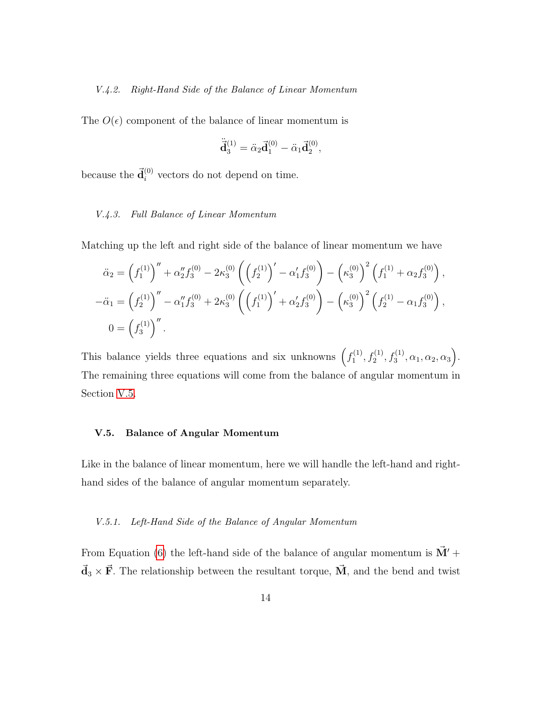#### <span id="page-14-0"></span>V.4.2. Right-Hand Side of the Balance of Linear Momentum

The  $O(\epsilon)$  component of the balance of linear momentum is

$$
\ddot{\vec{\mathbf{d}}}^{(1)}_3 = \ddot{\alpha}_2 \vec{\mathbf{d}}^{(0)}_1 - \ddot{\alpha}_1 \vec{\mathbf{d}}^{(0)}_2,
$$

because the  $\vec{d}_i^{(0)}$  vectors do not depend on time.

#### <span id="page-14-1"></span>V.4.3. Full Balance of Linear Momentum

Matching up the left and right side of the balance of linear momentum we have

$$
\ddot{\alpha}_2 = \left(f_1^{(1)}\right)'' + \alpha_2'' f_3^{(0)} - 2\kappa_3^{(0)} \left(\left(f_2^{(1)}\right)' - \alpha_1' f_3^{(0)}\right) - \left(\kappa_3^{(0)}\right)^2 \left(f_1^{(1)} + \alpha_2 f_3^{(0)}\right),
$$
  
\n
$$
-\ddot{\alpha}_1 = \left(f_2^{(1)}\right)'' - \alpha_1'' f_3^{(0)} + 2\kappa_3^{(0)} \left(\left(f_1^{(1)}\right)' + \alpha_2' f_3^{(0)}\right) - \left(\kappa_3^{(0)}\right)^2 \left(f_2^{(1)} - \alpha_1 f_3^{(0)}\right),
$$
  
\n
$$
0 = \left(f_3^{(1)}\right)''.
$$

This balance yields three equations and six unknowns  $(f_1^{(1)})$  $f_1^{(1)}, f_2^{(1)}, f_3^{(1)}, \alpha_1, \alpha_2, \alpha_3$ . The remaining three equations will come from the balance of angular momentum in Section [V.5.](#page-14-2)

#### <span id="page-14-2"></span>V.5. Balance of Angular Momentum

Like in the balance of linear momentum, here we will handle the left-hand and righthand sides of the balance of angular momentum separately.

#### <span id="page-14-3"></span>V.5.1. Left-Hand Side of the Balance of Angular Momentum

From Equation [\(6\)](#page-9-2) the left-hand side of the balance of angular momentum is  $\vec{M}'$  +  $\vec{d}_3 \times \vec{F}$ . The relationship between the resultant torque,  $\vec{M}$ , and the bend and twist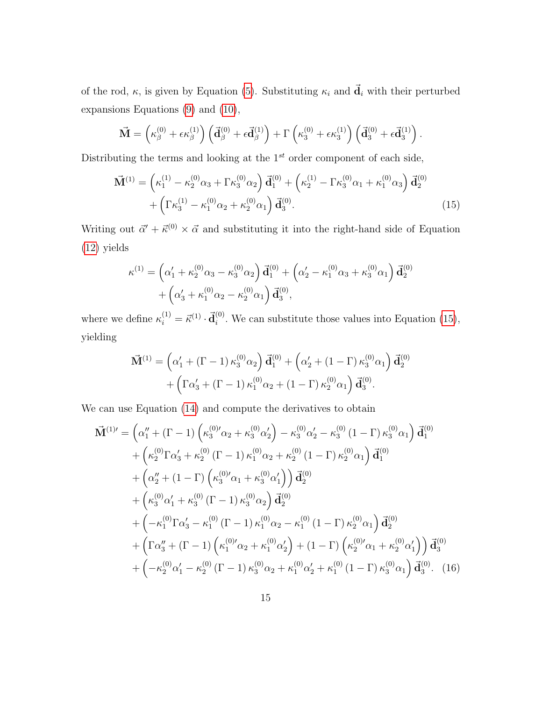of the rod,  $\kappa$ , is given by Equation [\(5\)](#page-9-3). Substituting  $\kappa_i$  and  $\vec{d}_i$  with their perturbed expansions Equations [\(9\)](#page-10-1) and [\(10\)](#page-10-1),

$$
\vec{\mathbf{M}} = \left(\kappa_\beta^{(0)} + \epsilon \kappa_\beta^{(1)}\right) \left(\vec{\mathbf{d}}_\beta^{(0)} + \epsilon \vec{\mathbf{d}}_\beta^{(1)}\right) + \Gamma\left(\kappa_3^{(0)} + \epsilon \kappa_3^{(1)}\right) \left(\vec{\mathbf{d}}_3^{(0)} + \epsilon \vec{\mathbf{d}}_3^{(1)}\right).
$$

Distributing the terms and looking at the  $1^{st}$  order component of each side,

$$
\vec{\mathbf{M}}^{(1)} = \left(\kappa_1^{(1)} - \kappa_2^{(0)}\alpha_3 + \Gamma\kappa_3^{(0)}\alpha_2\right)\vec{\mathbf{d}}_1^{(0)} + \left(\kappa_2^{(1)} - \Gamma\kappa_3^{(0)}\alpha_1 + \kappa_1^{(0)}\alpha_3\right)\vec{\mathbf{d}}_2^{(0)} + \left(\Gamma\kappa_3^{(1)} - \kappa_1^{(0)}\alpha_2 + \kappa_2^{(0)}\alpha_1\right)\vec{\mathbf{d}}_3^{(0)}.
$$
\n(15)

Writing out  $\vec{\alpha}' + \vec{\kappa}^{(0)} \times \vec{\alpha}$  and substituting it into the right-hand side of Equation [\(12\)](#page-12-2) yields

<span id="page-15-0"></span>
$$
\kappa^{(1)} = \left(\alpha_1' + \kappa_2^{(0)}\alpha_3 - \kappa_3^{(0)}\alpha_2\right)\vec{d}_1^{(0)} + \left(\alpha_2' - \kappa_1^{(0)}\alpha_3 + \kappa_3^{(0)}\alpha_1\right)\vec{d}_2^{(0)} + \left(\alpha_3' + \kappa_1^{(0)}\alpha_2 - \kappa_2^{(0)}\alpha_1\right)\vec{d}_3^{(0)},
$$

where we define  $\kappa_i^{(1)} = \vec{\kappa}^{(1)} \cdot \vec{\mathbf{d}}_i^{(0)}$  $i^{(0)}$ . We can substitute those values into Equation [\(15\)](#page-13-0), yielding

$$
\vec{\mathbf{M}}^{(1)} = \left(\alpha'_1 + (\Gamma - 1) \kappa_3^{(0)} \alpha_2\right) \vec{\mathbf{d}}_1^{(0)} + \left(\alpha'_2 + (1 - \Gamma) \kappa_3^{(0)} \alpha_1\right) \vec{\mathbf{d}}_2^{(0)} + \left(\Gamma \alpha'_3 + (\Gamma - 1) \kappa_1^{(0)} \alpha_2 + (1 - \Gamma) \kappa_2^{(0)} \alpha_1\right) \vec{\mathbf{d}}_3^{(0)}.
$$

We can use Equation [\(14\)](#page-13-1) and compute the derivatives to obtain

$$
\vec{M}^{(1)\prime} = \left(\alpha_1'' + (\Gamma - 1) \left(\kappa_3^{(0)}\alpha_2 + \kappa_3^{(0)}\alpha_2'\right) - \kappa_3^{(0)}\alpha_2' - \kappa_3^{(0)}(1 - \Gamma)\kappa_3^{(0)}\alpha_1\right)\vec{d}_1^{(0)} \n+ \left(\kappa_2^{(0)}\Gamma\alpha_3' + \kappa_2^{(0)}(\Gamma - 1)\kappa_1^{(0)}\alpha_2 + \kappa_2^{(0)}(1 - \Gamma)\kappa_2^{(0)}\alpha_1\right)\vec{d}_1^{(0)} \n+ \left(\alpha_2'' + (1 - \Gamma)\left(\kappa_3^{(0)}\alpha_1 + \kappa_3^{(0)}\alpha_1'\right)\right)\vec{d}_2^{(0)} \n+ \left(\kappa_3^{(0)}\alpha_1' + \kappa_3^{(0)}(\Gamma - 1)\kappa_3^{(0)}\alpha_2\right)\vec{d}_2^{(0)} \n+ \left(-\kappa_1^{(0)}\Gamma\alpha_3' - \kappa_1^{(0)}(\Gamma - 1)\kappa_1^{(0)}\alpha_2 - \kappa_1^{(0)}(1 - \Gamma)\kappa_2^{(0)}\alpha_1\right)\vec{d}_2^{(0)} \n+ \left(\Gamma\alpha_3'' + (\Gamma - 1)\left(\kappa_1^{(0)'}\alpha_2 + \kappa_1^{(0)}\alpha_2'\right) + (1 - \Gamma)\left(\kappa_2^{(0)'}\alpha_1 + \kappa_2^{(0)}\alpha_1'\right)\right)\vec{d}_3^{(0)} \n+ \left(-\kappa_2^{(0)}\alpha_1' - \kappa_2^{(0)}(\Gamma - 1)\kappa_3^{(0)}\alpha_2 + \kappa_1^{(0)}\alpha_2' + \kappa_1^{(0)}(1 - \Gamma)\kappa_3^{(0)}\alpha_1\right)\vec{d}_3^{(0)}.
$$
 (16)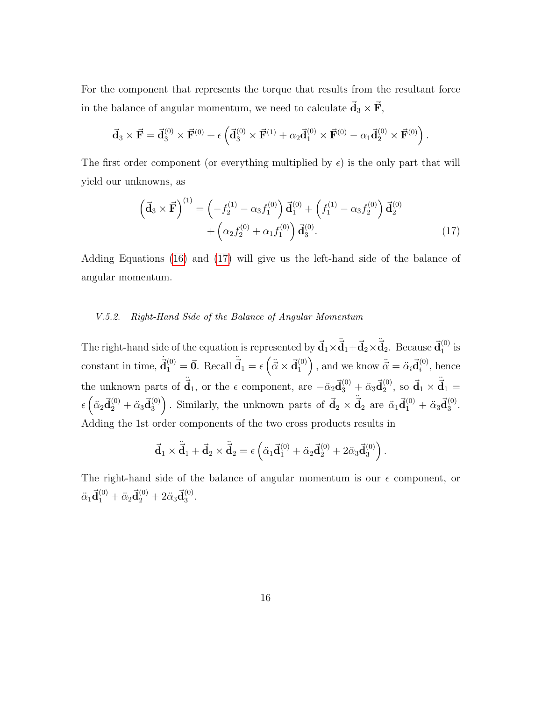For the component that represents the torque that results from the resultant force in the balance of angular momentum, we need to calculate  $\vec{d}_3 \times \vec{F}$ ,

<span id="page-16-1"></span>
$$
\vec{\mathbf{d}}_3 \times \vec{\mathbf{F}} = \vec{\mathbf{d}}_3^{(0)} \times \vec{\mathbf{F}}^{(0)} + \epsilon \left( \vec{\mathbf{d}}_3^{(0)} \times \vec{\mathbf{F}}^{(1)} + \alpha_2 \vec{\mathbf{d}}_1^{(0)} \times \vec{\mathbf{F}}^{(0)} - \alpha_1 \vec{\mathbf{d}}_2^{(0)} \times \vec{\mathbf{F}}^{(0)} \right).
$$

The first order component (or everything multiplied by  $\epsilon$ ) is the only part that will yield our unknowns, as

$$
\left(\vec{\mathbf{d}}_3 \times \vec{\mathbf{F}}\right)^{(1)} = \left(-f_2^{(1)} - \alpha_3 f_1^{(0)}\right) \vec{\mathbf{d}}_1^{(0)} + \left(f_1^{(1)} - \alpha_3 f_2^{(0)}\right) \vec{\mathbf{d}}_2^{(0)} + \left(\alpha_2 f_2^{(0)} + \alpha_1 f_1^{(0)}\right) \vec{\mathbf{d}}_3^{(0)}.
$$
\n(17)

Adding Equations [\(16\)](#page-15-0) and [\(17\)](#page-16-1) will give us the left-hand side of the balance of angular momentum.

#### <span id="page-16-0"></span>V.5.2. Right-Hand Side of the Balance of Angular Momentum

The right-hand side of the equation is represented by  $\vec{d}_1 \times \vec{d}_1 + \vec{d}_2 \times \vec{d}_2$ . Because  $\vec{d}_1^{(0)}$  $_1^{(0)}$  is constant in time,  $\dot{\vec{d}}_1^{(0)} = \vec{0}$ . Recall  $\ddot{\vec{d}}_1 = \epsilon \left( \ddot{\vec{\alpha}} \times \vec{d}_1^{(0)} \right)$  $\begin{pmatrix} 0 \\ 1 \end{pmatrix}$ , and we know  $\ddot{\vec{\alpha}} = \ddot{\alpha}_i \vec{\mathbf{d}}_i^{(0)}$  $i^{(0)}$ , hence the unknown parts of  $\ddot{d}_1$ , or the  $\epsilon$  component, are  $-\ddot{\alpha}_2 \vec{d}_3^{(0)} + \ddot{\alpha}_3 \vec{d}_2^{(0)}$  $^{(0)}_{2}$ , so  $\vec{d}_1 \times \ddot{\vec{d}}_1 =$  $\epsilon \left( \ddot{\alpha}_2 \vec{\mathbf{d}}_2^{(0)} + \ddot{\alpha}_3 \vec{\mathbf{d}}_3^{(0)} \right)$ (0) Similarly, the unknown parts of  $\vec{d}_2 \times \ddot{\vec{d}}_2$  are  $\ddot{\alpha}_1 \vec{d}_1^{(0)} + \ddot{\alpha}_3 \vec{d}_3^{(0)}$  $\frac{(0)}{3}$ . Adding the 1st order components of the two cross products results in

$$
\vec{\mathbf{d}}_1\times\ddot{\vec{\mathbf{d}}}_1+\vec{\mathbf{d}}_2\times\ddot{\vec{\mathbf{d}}}_2=\epsilon\left(\ddot{\alpha}_1\vec{\mathbf{d}}_1^{(0)}+\ddot{\alpha}_2\vec{\mathbf{d}}_2^{(0)}+2\ddot{\alpha}_3\vec{\mathbf{d}}_3^{(0)}\right).
$$

The right-hand side of the balance of angular momentum is our  $\epsilon$  component, or  $\ddot{\alpha}_1\vec{\mathbf{d}}_1^{(0)} + \ddot{\alpha}_2\vec{\mathbf{d}}_2^{(0)} + 2\ddot{\alpha}_3\vec{\mathbf{d}}_3^{(0)}$  $\binom{0}{3}$ .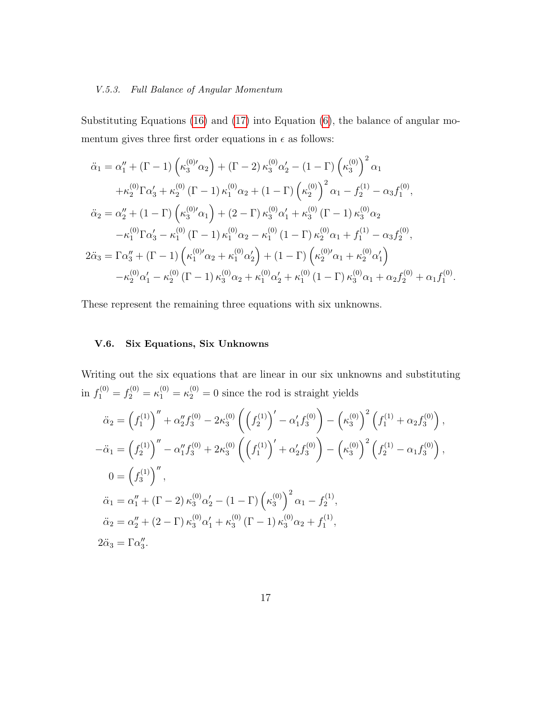#### <span id="page-17-0"></span>V.5.3. Full Balance of Angular Momentum

Substituting Equations [\(16\)](#page-15-0) and [\(17\)](#page-16-1) into Equation [\(6\)](#page-9-2), the balance of angular momentum gives three first order equations in  $\epsilon$  as follows:

$$
\ddot{\alpha}_{1} = \alpha_{1}'' + (\Gamma - 1) \left( \kappa_{3}^{(0)'} \alpha_{2} \right) + (\Gamma - 2) \kappa_{3}^{(0)} \alpha_{2}' - (1 - \Gamma) \left( \kappa_{3}^{(0)} \right)^{2} \alpha_{1} \n+ \kappa_{2}^{(0)} \Gamma \alpha_{3}' + \kappa_{2}^{(0)} (\Gamma - 1) \kappa_{1}^{(0)} \alpha_{2} + (1 - \Gamma) \left( \kappa_{2}^{(0)} \right)^{2} \alpha_{1} - f_{2}^{(1)} - \alpha_{3} f_{1}^{(0)}, \n\ddot{\alpha}_{2} = \alpha_{2}'' + (1 - \Gamma) \left( \kappa_{3}^{(0)'} \alpha_{1} \right) + (2 - \Gamma) \kappa_{3}^{(0)} \alpha_{1}' + \kappa_{3}^{(0)} (\Gamma - 1) \kappa_{3}^{(0)} \alpha_{2} \n- \kappa_{1}^{(0)} \Gamma \alpha_{3}' - \kappa_{1}^{(0)} (\Gamma - 1) \kappa_{1}^{(0)} \alpha_{2} - \kappa_{1}^{(0)} (1 - \Gamma) \kappa_{2}^{(0)} \alpha_{1} + f_{1}^{(1)} - \alpha_{3} f_{2}^{(0)}, \n2\ddot{\alpha}_{3} = \Gamma \alpha_{3}'' + (\Gamma - 1) \left( \kappa_{1}^{(0)'} \alpha_{2} + \kappa_{1}^{(0)} \alpha_{2}' \right) + (1 - \Gamma) \left( \kappa_{2}^{(0)'} \alpha_{1} + \kappa_{2}^{(0)} \alpha_{1}' \right) \n- \kappa_{2}^{(0)} \alpha_{1}' - \kappa_{2}^{(0)} (\Gamma - 1) \kappa_{3}^{(0)} \alpha_{2} + \kappa_{1}^{(0)} \alpha_{2}' + \kappa_{1}^{(0)} (1 - \Gamma) \kappa_{3}^{(0)} \alpha_{1} + \alpha_{2} f_{2}^{(0)} + \alpha_{1} f_{1}^{(0)}.
$$

These represent the remaining three equations with six unknowns.

#### <span id="page-17-1"></span>V.6. Six Equations, Six Unknowns

Writing out the six equations that are linear in our six unknowns and substituting in  $f_1^{(0)} = f_2^{(0)} = \kappa_1^{(0)} = \kappa_2^{(0)} = 0$  since the rod is straight yields

$$
\ddot{\alpha}_2 = \left(f_1^{(1)}\right)'' + \alpha_2'' f_3^{(0)} - 2\kappa_3^{(0)} \left(\left(f_2^{(1)}\right)' - \alpha_1' f_3^{(0)}\right) - \left(\kappa_3^{(0)}\right)^2 \left(f_1^{(1)} + \alpha_2 f_3^{(0)}\right),
$$
  
\n
$$
-\ddot{\alpha}_1 = \left(f_2^{(1)}\right)'' - \alpha_1'' f_3^{(0)} + 2\kappa_3^{(0)} \left(\left(f_1^{(1)}\right)' + \alpha_2' f_3^{(0)}\right) - \left(\kappa_3^{(0)}\right)^2 \left(f_2^{(1)} - \alpha_1 f_3^{(0)}\right),
$$
  
\n
$$
0 = \left(f_3^{(1)}\right)'',
$$
  
\n
$$
\ddot{\alpha}_1 = \alpha_1'' + (\Gamma - 2) \kappa_3^{(0)} \alpha_2' - (1 - \Gamma) \left(\kappa_3^{(0)}\right)^2 \alpha_1 - f_2^{(1)},
$$
  
\n
$$
\ddot{\alpha}_2 = \alpha_2'' + (2 - \Gamma) \kappa_3^{(0)} \alpha_1' + \kappa_3^{(0)} (\Gamma - 1) \kappa_3^{(0)} \alpha_2 + f_1^{(1)},
$$
  
\n
$$
2\ddot{\alpha}_3 = \Gamma \alpha_3''.
$$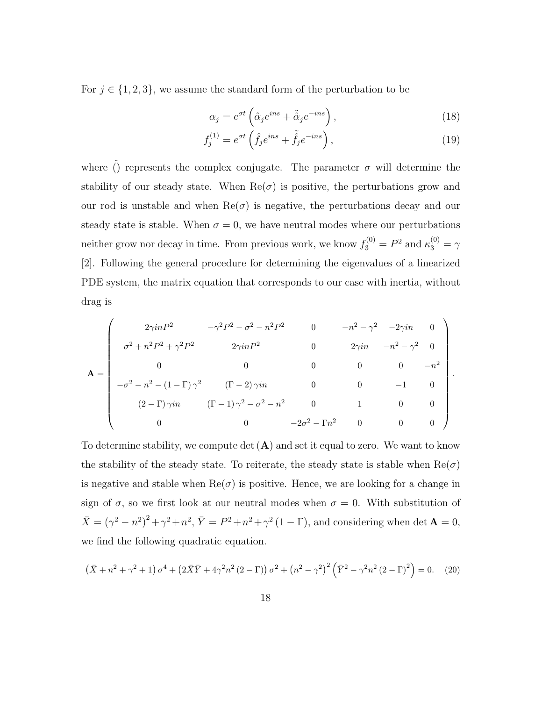For  $j \in \{1, 2, 3\}$ , we assume the standard form of the perturbation to be

$$
\alpha_j = e^{\sigma t} \left( \hat{\alpha}_j e^{ins} + \tilde{\hat{\alpha}}_j e^{-ins} \right), \tag{18}
$$

$$
f_j^{(1)} = e^{\sigma t} \left( \hat{f}_j e^{ins} + \tilde{\hat{f}}_j e^{-ins} \right), \tag{19}
$$

.

where  $\tilde{()}$  represents the complex conjugate. The parameter  $\sigma$  will determine the stability of our steady state. When  $\text{Re}(\sigma)$  is positive, the perturbations grow and our rod is unstable and when  $\text{Re}(\sigma)$  is negative, the perturbations decay and our steady state is stable. When  $\sigma = 0$ , we have neutral modes where our perturbations neither grow nor decay in time. From previous work, we know  $f_3^{(0)} = P^2$  and  $\kappa_3^{(0)} = \gamma$ [2]. Following the general procedure for determining the eigenvalues of a linearized PDE system, the matrix equation that corresponds to our case with inertia, without drag is

$$
\mathbf{A} = \begin{pmatrix} 2\gamma inP^2 & -\gamma^2 P^2 - \sigma^2 - n^2 P^2 & 0 & -n^2 - \gamma^2 & -2\gamma in & 0 \\ \sigma^2 + n^2 P^2 + \gamma^2 P^2 & 2\gamma inP^2 & 0 & 2\gamma in & -n^2 - \gamma^2 & 0 \\ 0 & 0 & 0 & 0 & 0 & -n^2 \\ -\sigma^2 - n^2 - (1 - \Gamma)\gamma^2 & (\Gamma - 2)\gamma in & 0 & 0 & -1 & 0 \\ (2 - \Gamma)\gamma in & (\Gamma - 1)\gamma^2 - \sigma^2 - n^2 & 0 & 1 & 0 & 0 \\ 0 & 0 & -2\sigma^2 - \Gamma n^2 & 0 & 0 & 0 \end{pmatrix}
$$

To determine stability, we compute det  $(A)$  and set it equal to zero. We want to know the stability of the steady state. To reiterate, the steady state is stable when  $\text{Re}(\sigma)$ is negative and stable when  $\text{Re}(\sigma)$  is positive. Hence, we are looking for a change in sign of  $\sigma$ , so we first look at our neutral modes when  $\sigma = 0$ . With substitution of  $\bar{X} = (\gamma^2 - n^2)^2 + \gamma^2 + n^2$ ,  $\bar{Y} = P^2 + n^2 + \gamma^2 (1 - \Gamma)$ , and considering when det  $\mathbf{A} = 0$ , we find the following quadratic equation.

<span id="page-18-0"></span>
$$
(\bar{X} + n^2 + \gamma^2 + 1)\sigma^4 + (2\bar{X}\bar{Y} + 4\gamma^2 n^2 (2 - \Gamma))\sigma^2 + (n^2 - \gamma^2)^2 (\bar{Y}^2 - \gamma^2 n^2 (2 - \Gamma)^2) = 0.
$$
 (20)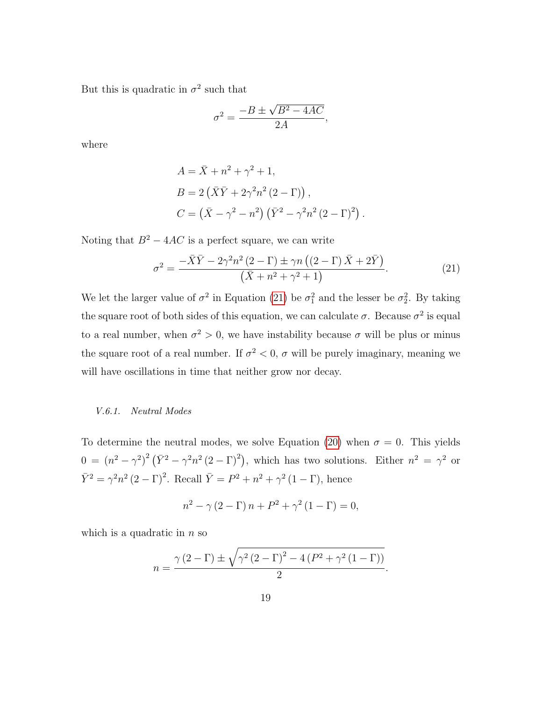But this is quadratic in  $\sigma^2$  such that

<span id="page-19-1"></span>
$$
\sigma^2 = \frac{-B \pm \sqrt{B^2 - 4AC}}{2A}
$$

where

$$
A = \bar{X} + n^2 + \gamma^2 + 1,
$$
  
\n
$$
B = 2(\bar{X}\bar{Y} + 2\gamma^2 n^2 (2 - \Gamma)),
$$
  
\n
$$
C = (\bar{X} - \gamma^2 - n^2) (\bar{Y}^2 - \gamma^2 n^2 (2 - \Gamma)^2).
$$

Noting that  $B^2 - 4AC$  is a perfect square, we can write

$$
\sigma^2 = \frac{-\bar{X}\bar{Y} - 2\gamma^2 n^2 (2-\Gamma) \pm \gamma n \left( (2-\Gamma) \bar{X} + 2\bar{Y} \right)}{\left( \bar{X} + n^2 + \gamma^2 + 1 \right)}.
$$
\n(21)

,

We let the larger value of  $\sigma^2$  in Equation [\(21\)](#page-19-1) be  $\sigma_1^2$  and the lesser be  $\sigma_2^2$ . By taking the square root of both sides of this equation, we can calculate  $\sigma$ . Because  $\sigma^2$  is equal to a real number, when  $\sigma^2 > 0$ , we have instability because  $\sigma$  will be plus or minus the square root of a real number. If  $\sigma^2 < 0$ ,  $\sigma$  will be purely imaginary, meaning we will have oscillations in time that neither grow nor decay.

#### <span id="page-19-0"></span>V.6.1. Neutral Modes

To determine the neutral modes, we solve Equation [\(20\)](#page-18-0) when  $\sigma = 0$ . This yields  $0 = (n^2 - \gamma^2)^2 (\bar{Y}^2 - \gamma^2 n^2 (2 - \Gamma)^2)$ , which has two solutions. Either  $n^2 = \gamma^2$  or  $\bar{Y}^2 = \gamma^2 n^2 (2 - \Gamma)^2$ . Recall  $\bar{Y} = P^2 + n^2 + \gamma^2 (1 - \Gamma)$ , hence

$$
n^{2} - \gamma (2 - \Gamma) n + P^{2} + \gamma^{2} (1 - \Gamma) = 0,
$$

which is a quadratic in  $n$  so

$$
n = \frac{\gamma (2 - \Gamma) \pm \sqrt{\gamma^2 (2 - \Gamma)^2 - 4 (P^2 + \gamma^2 (1 - \Gamma))}}{2}.
$$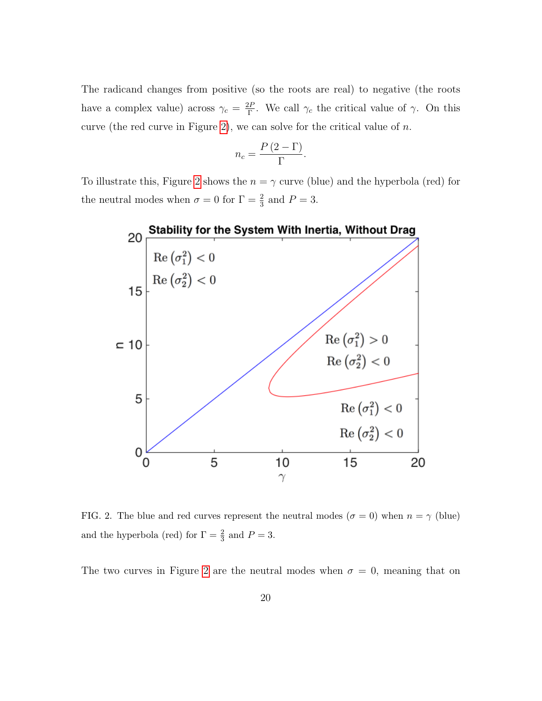The radicand changes from positive (so the roots are real) to negative (the roots have a complex value) across  $\gamma_c = \frac{2F}{\Gamma}$  $\frac{\partial P}{\partial \Gamma}$ . We call  $\gamma_c$  the critical value of  $\gamma$ . On this curve (the red curve in Figure [2\)](#page-20-0), we can solve for the critical value of  $n$ .

$$
n_c = \frac{P(2-\Gamma)}{\Gamma}.
$$

To illustrate this, Figure [2](#page-20-0) shows the  $n = \gamma$  curve (blue) and the hyperbola (red) for the neutral modes when  $\sigma = 0$  for  $\Gamma = \frac{2}{3}$  and  $P = 3$ .



<span id="page-20-0"></span>FIG. 2. The blue and red curves represent the neutral modes ( $\sigma = 0$ ) when  $n = \gamma$  (blue) and the hyperbola (red) for  $\Gamma = \frac{2}{3}$  and  $P = 3$ .

The two curves in Figure [2](#page-20-0) are the neutral modes when  $\sigma = 0$ , meaning that on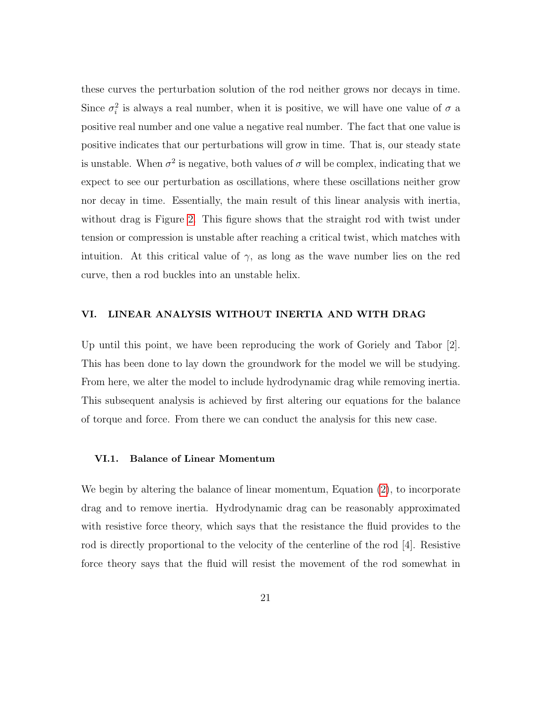these curves the perturbation solution of the rod neither grows nor decays in time. Since  $\sigma_i^2$  is always a real number, when it is positive, we will have one value of  $\sigma$  a positive real number and one value a negative real number. The fact that one value is positive indicates that our perturbations will grow in time. That is, our steady state is unstable. When  $\sigma^2$  is negative, both values of  $\sigma$  will be complex, indicating that we expect to see our perturbation as oscillations, where these oscillations neither grow nor decay in time. Essentially, the main result of this linear analysis with inertia, without drag is Figure [2.](#page-20-0) This figure shows that the straight rod with twist under tension or compression is unstable after reaching a critical twist, which matches with intuition. At this critical value of  $\gamma$ , as long as the wave number lies on the red curve, then a rod buckles into an unstable helix.

#### <span id="page-21-0"></span>VI. LINEAR ANALYSIS WITHOUT INERTIA AND WITH DRAG

Up until this point, we have been reproducing the work of Goriely and Tabor [2]. This has been done to lay down the groundwork for the model we will be studying. From here, we alter the model to include hydrodynamic drag while removing inertia. This subsequent analysis is achieved by first altering our equations for the balance of torque and force. From there we can conduct the analysis for this new case.

#### <span id="page-21-1"></span>VI.1. Balance of Linear Momentum

We begin by altering the balance of linear momentum, Equation [\(2\)](#page-7-3), to incorporate drag and to remove inertia. Hydrodynamic drag can be reasonably approximated with resistive force theory, which says that the resistance the fluid provides to the rod is directly proportional to the velocity of the centerline of the rod [4]. Resistive force theory says that the fluid will resist the movement of the rod somewhat in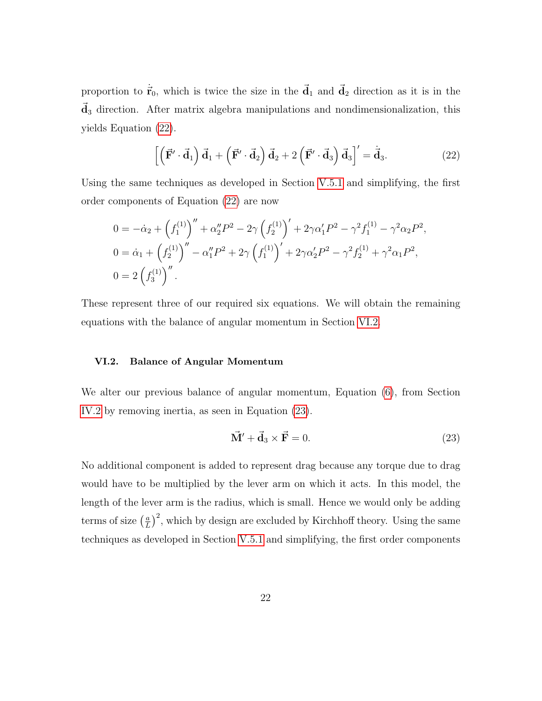proportion to  $\dot{\vec{r}}_0$ , which is twice the size in the  $\vec{d}_1$  and  $\vec{d}_2$  direction as it is in the  $\vec{d}_3$  direction. After matrix algebra manipulations and nondimensionalization, this yields Equation [\(22\)](#page-22-1).

<span id="page-22-1"></span>
$$
\left[ \left( \vec{\mathbf{F}}' \cdot \vec{\mathbf{d}}_1 \right) \vec{\mathbf{d}}_1 + \left( \vec{\mathbf{F}}' \cdot \vec{\mathbf{d}}_2 \right) \vec{\mathbf{d}}_2 + 2 \left( \vec{\mathbf{F}}' \cdot \vec{\mathbf{d}}_3 \right) \vec{\mathbf{d}}_3 \right]' = \dot{\vec{\mathbf{d}}}_3. \tag{22}
$$

Using the same techniques as developed in Section [V.5.1](#page-14-3) and simplifying, the first order components of Equation [\(22\)](#page-22-1) are now

<span id="page-22-2"></span>
$$
0 = -\dot{\alpha}_2 + \left(f_1^{(1)}\right)'' + \alpha_2'' P^2 - 2\gamma \left(f_2^{(1)}\right)' + 2\gamma \alpha_1' P^2 - \gamma^2 f_1^{(1)} - \gamma^2 \alpha_2 P^2,
$$
  
\n
$$
0 = \dot{\alpha}_1 + \left(f_2^{(1)}\right)'' - \alpha_1'' P^2 + 2\gamma \left(f_1^{(1)}\right)' + 2\gamma \alpha_2' P^2 - \gamma^2 f_2^{(1)} + \gamma^2 \alpha_1 P^2,
$$
  
\n
$$
0 = 2 \left(f_3^{(1)}\right)''.
$$

These represent three of our required six equations. We will obtain the remaining equations with the balance of angular momentum in Section [VI.2.](#page-22-0)

#### <span id="page-22-0"></span>VI.2. Balance of Angular Momentum

We alter our previous balance of angular momentum, Equation [\(6\)](#page-9-2), from Section [IV.2](#page-8-0) by removing inertia, as seen in Equation [\(23\)](#page-22-2).

$$
\vec{\mathbf{M}}' + \vec{\mathbf{d}}_3 \times \vec{\mathbf{F}} = 0. \tag{23}
$$

No additional component is added to represent drag because any torque due to drag would have to be multiplied by the lever arm on which it acts. In this model, the length of the lever arm is the radius, which is small. Hence we would only be adding terms of size  $\left(\frac{a}{l}\right)$  $\frac{a}{L}$ )<sup>2</sup>, which by design are excluded by Kirchhoff theory. Using the same techniques as developed in Section [V.5.1](#page-14-3) and simplifying, the first order components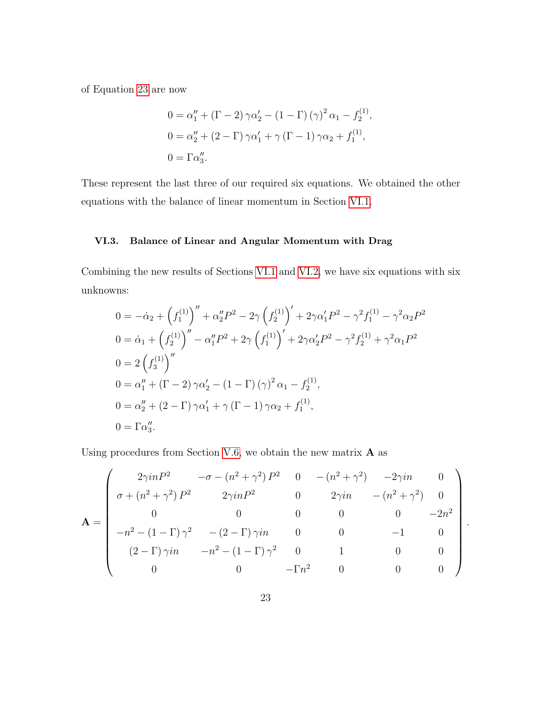of Equation [23](#page-22-2) are now

<span id="page-23-1"></span>
$$
0 = \alpha_1'' + (\Gamma - 2) \gamma \alpha_2' - (1 - \Gamma) (\gamma)^2 \alpha_1 - f_2^{(1)},
$$
  
\n
$$
0 = \alpha_2'' + (2 - \Gamma) \gamma \alpha_1' + \gamma (\Gamma - 1) \gamma \alpha_2 + f_1^{(1)},
$$
  
\n
$$
0 = \Gamma \alpha_3''.
$$

These represent the last three of our required six equations. We obtained the other equations with the balance of linear momentum in Section [VI.1.](#page-21-1)

#### <span id="page-23-0"></span>VI.3. Balance of Linear and Angular Momentum with Drag

Combining the new results of Sections [VI.1](#page-21-1) and [VI.2,](#page-22-0) we have six equations with six unknowns:

$$
0 = -\dot{\alpha}_2 + \left(f_1^{(1)}\right)'' + \alpha_2'' P^2 - 2\gamma \left(f_2^{(1)}\right)' + 2\gamma \alpha_1' P^2 - \gamma^2 f_1^{(1)} - \gamma^2 \alpha_2 P^2
$$
  
\n
$$
0 = \dot{\alpha}_1 + \left(f_2^{(1)}\right)'' - \alpha_1'' P^2 + 2\gamma \left(f_1^{(1)}\right)' + 2\gamma \alpha_2' P^2 - \gamma^2 f_2^{(1)} + \gamma^2 \alpha_1 P^2
$$
  
\n
$$
0 = 2 \left(f_3^{(1)}\right)''
$$
  
\n
$$
0 = \alpha_1'' + \left(\Gamma - 2\right) \gamma \alpha_2' - \left(1 - \Gamma\right) (\gamma)^2 \alpha_1 - f_2^{(1)},
$$
  
\n
$$
0 = \alpha_2'' + \left(2 - \Gamma\right) \gamma \alpha_1' + \gamma \left(\Gamma - 1\right) \gamma \alpha_2 + f_1^{(1)},
$$
  
\n
$$
0 = \Gamma \alpha_3''.
$$

Using procedures from Section [V.6,](#page-17-1) we obtain the new matrix  $\bf{A}$  as

$$
\mathbf{A} = \begin{pmatrix} 2\gamma inP^2 & -\sigma - (n^2 + \gamma^2) P^2 & 0 & -(n^2 + \gamma^2) & -2\gamma in & 0 \\ \sigma + (n^2 + \gamma^2) P^2 & 2\gamma inP^2 & 0 & 2\gamma in & -(n^2 + \gamma^2) & 0 \\ 0 & 0 & 0 & 0 & 0 & -2n^2 \\ -n^2 - (1 - \Gamma)\gamma^2 & -(2 - \Gamma)\gamma in & 0 & 0 & -1 & 0 \\ (2 - \Gamma)\gamma in & -n^2 - (1 - \Gamma)\gamma^2 & 0 & 1 & 0 & 0 \\ 0 & 0 & -\Gamma n^2 & 0 & 0 & 0 \end{pmatrix}.
$$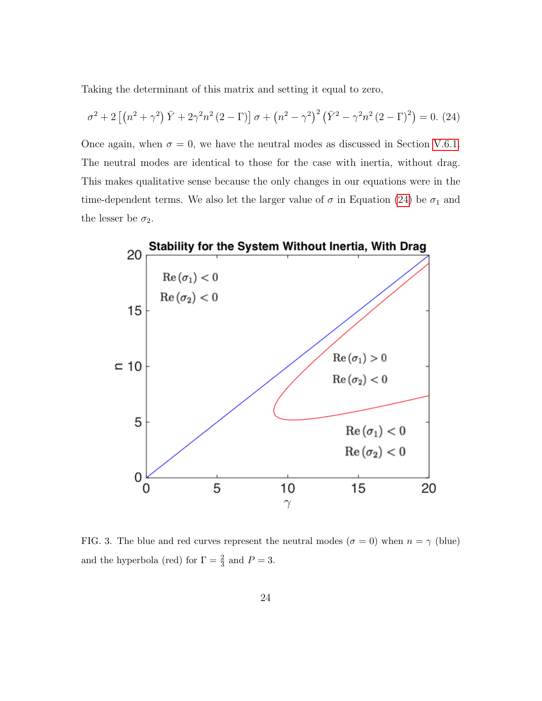Taking the determinant of this matrix and setting it equal to zero,

$$
\sigma^{2} + 2\left[\left(n^{2} + \gamma^{2}\right)\bar{Y} + 2\gamma^{2}n^{2}\left(2 - \Gamma\right)\right]\sigma + \left(n^{2} - \gamma^{2}\right)^{2}\left(\bar{Y}^{2} - \gamma^{2}n^{2}\left(2 - \Gamma\right)^{2}\right) = 0. \tag{24}
$$

Once again, when  $\sigma = 0$ , we have the neutral modes as discussed in Section [V.6.1.](#page-19-0) The neutral modes are identical to those for the case with inertia, without drag. This makes qualitative sense because the only changes in our equations were in the time-dependent terms. We also let the larger value of  $\sigma$  in Equation [\(24\)](#page-23-1) be  $\sigma_1$  and the lesser be  $\sigma_2$ .



FIG. 3. The blue and red curves represent the neutral modes ( $\sigma = 0$ ) when  $n = \gamma$  (blue) and the hyperbola (red) for  $\Gamma = \frac{2}{3}$  and  $P = 3$ .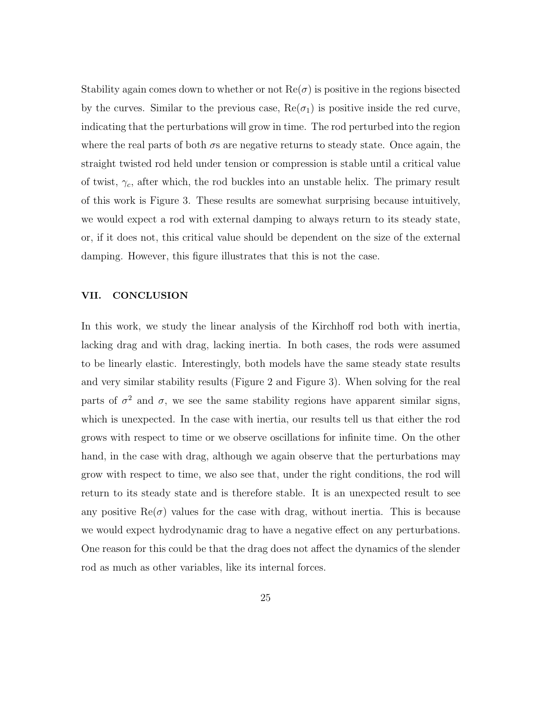Stability again comes down to whether or not  $\text{Re}(\sigma)$  is positive in the regions bisected by the curves. Similar to the previous case,  $Re(\sigma_1)$  is positive inside the red curve, indicating that the perturbations will grow in time. The rod perturbed into the region where the real parts of both  $\sigma s$  are negative returns to steady state. Once again, the straight twisted rod held under tension or compression is stable until a critical value of twist,  $\gamma_c$ , after which, the rod buckles into an unstable helix. The primary result of this work is Figure 3. These results are somewhat surprising because intuitively, we would expect a rod with external damping to always return to its steady state, or, if it does not, this critical value should be dependent on the size of the external damping. However, this figure illustrates that this is not the case.

#### <span id="page-25-0"></span>VII. CONCLUSION

In this work, we study the linear analysis of the Kirchhoff rod both with inertia, lacking drag and with drag, lacking inertia. In both cases, the rods were assumed to be linearly elastic. Interestingly, both models have the same steady state results and very similar stability results (Figure 2 and Figure 3). When solving for the real parts of  $\sigma^2$  and  $\sigma$ , we see the same stability regions have apparent similar signs, which is unexpected. In the case with inertia, our results tell us that either the rod grows with respect to time or we observe oscillations for infinite time. On the other hand, in the case with drag, although we again observe that the perturbations may grow with respect to time, we also see that, under the right conditions, the rod will return to its steady state and is therefore stable. It is an unexpected result to see any positive  $\text{Re}(\sigma)$  values for the case with drag, without inertia. This is because we would expect hydrodynamic drag to have a negative effect on any perturbations. One reason for this could be that the drag does not affect the dynamics of the slender rod as much as other variables, like its internal forces.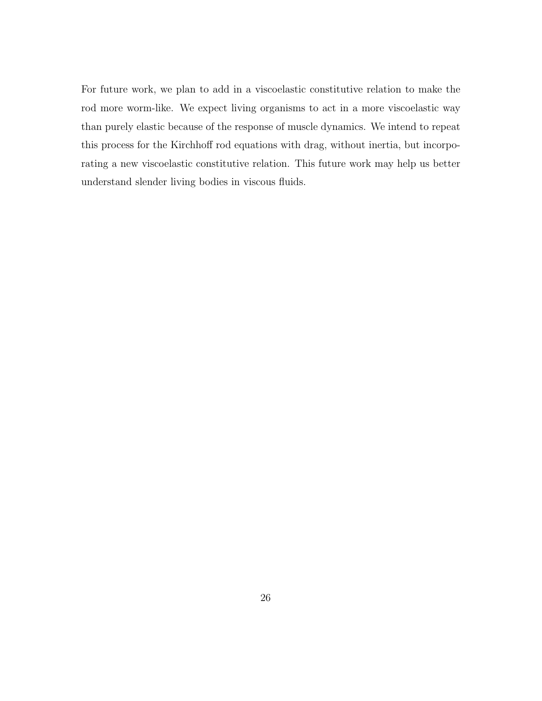For future work, we plan to add in a viscoelastic constitutive relation to make the rod more worm-like. We expect living organisms to act in a more viscoelastic way than purely elastic because of the response of muscle dynamics. We intend to repeat this process for the Kirchhoff rod equations with drag, without inertia, but incorporating a new viscoelastic constitutive relation. This future work may help us better understand slender living bodies in viscous fluids.